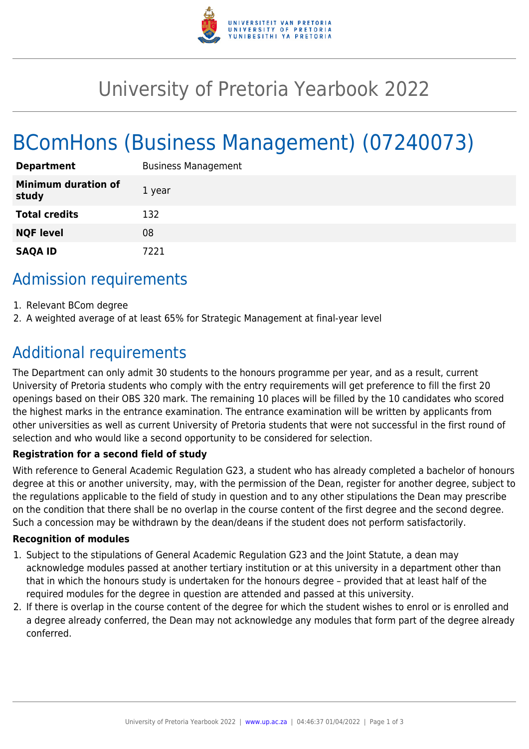

# University of Pretoria Yearbook 2022

# BComHons (Business Management) (07240073)

| <b>Department</b>                   | <b>Business Management</b> |
|-------------------------------------|----------------------------|
| <b>Minimum duration of</b><br>study | 1 year                     |
| <b>Total credits</b>                | 132                        |
| <b>NQF level</b>                    | 08                         |
| <b>SAQA ID</b>                      | 7221                       |

## Admission requirements

- 1. Relevant BCom degree
- 2. A weighted average of at least 65% for Strategic Management at final-year level

## Additional requirements

The Department can only admit 30 students to the honours programme per year, and as a result, current University of Pretoria students who comply with the entry requirements will get preference to fill the first 20 openings based on their OBS 320 mark. The remaining 10 places will be filled by the 10 candidates who scored the highest marks in the entrance examination. The entrance examination will be written by applicants from other universities as well as current University of Pretoria students that were not successful in the first round of selection and who would like a second opportunity to be considered for selection.

### **Registration for a second field of study**

With reference to General Academic Regulation G23, a student who has already completed a bachelor of honours degree at this or another university, may, with the permission of the Dean, register for another degree, subject to the regulations applicable to the field of study in question and to any other stipulations the Dean may prescribe on the condition that there shall be no overlap in the course content of the first degree and the second degree. Such a concession may be withdrawn by the dean/deans if the student does not perform satisfactorily.

#### **Recognition of modules**

- 1. Subject to the stipulations of General Academic Regulation G23 and the Joint Statute, a dean may acknowledge modules passed at another tertiary institution or at this university in a department other than that in which the honours study is undertaken for the honours degree – provided that at least half of the required modules for the degree in question are attended and passed at this university.
- 2. If there is overlap in the course content of the degree for which the student wishes to enrol or is enrolled and a degree already conferred, the Dean may not acknowledge any modules that form part of the degree already conferred.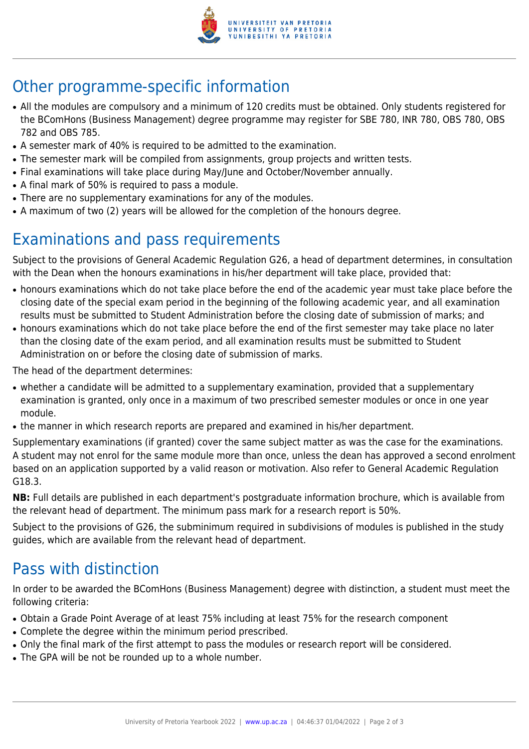

## Other programme-specific information

- All the modules are compulsory and a minimum of 120 credits must be obtained. Only students registered for the BComHons (Business Management) degree programme may register for SBE 780, INR 780, OBS 780, OBS 782 and OBS 785.
- A semester mark of 40% is required to be admitted to the examination.
- The semester mark will be compiled from assignments, group projects and written tests.
- Final examinations will take place during May/June and October/November annually.
- A final mark of 50% is required to pass a module.
- There are no supplementary examinations for any of the modules.
- A maximum of two (2) years will be allowed for the completion of the honours degree.

## Examinations and pass requirements

Subject to the provisions of General Academic Regulation G26, a head of department determines, in consultation with the Dean when the honours examinations in his/her department will take place, provided that:

- honours examinations which do not take place before the end of the academic year must take place before the closing date of the special exam period in the beginning of the following academic year, and all examination results must be submitted to Student Administration before the closing date of submission of marks; and
- honours examinations which do not take place before the end of the first semester may take place no later than the closing date of the exam period, and all examination results must be submitted to Student Administration on or before the closing date of submission of marks.

The head of the department determines:

- whether a candidate will be admitted to a supplementary examination, provided that a supplementary examination is granted, only once in a maximum of two prescribed semester modules or once in one year module.
- the manner in which research reports are prepared and examined in his/her department.

Supplementary examinations (if granted) cover the same subject matter as was the case for the examinations. A student may not enrol for the same module more than once, unless the dean has approved a second enrolment based on an application supported by a valid reason or motivation. Also refer to General Academic Regulation G18.3.

**NB:** Full details are published in each department's postgraduate information brochure, which is available from the relevant head of department. The minimum pass mark for a research report is 50%.

Subject to the provisions of G26, the subminimum required in subdivisions of modules is published in the study guides, which are available from the relevant head of department.

## Pass with distinction

In order to be awarded the BComHons (Business Management) degree with distinction, a student must meet the following criteria:

- Obtain a Grade Point Average of at least 75% including at least 75% for the research component
- Complete the degree within the minimum period prescribed.
- Only the final mark of the first attempt to pass the modules or research report will be considered.
- The GPA will be not be rounded up to a whole number.